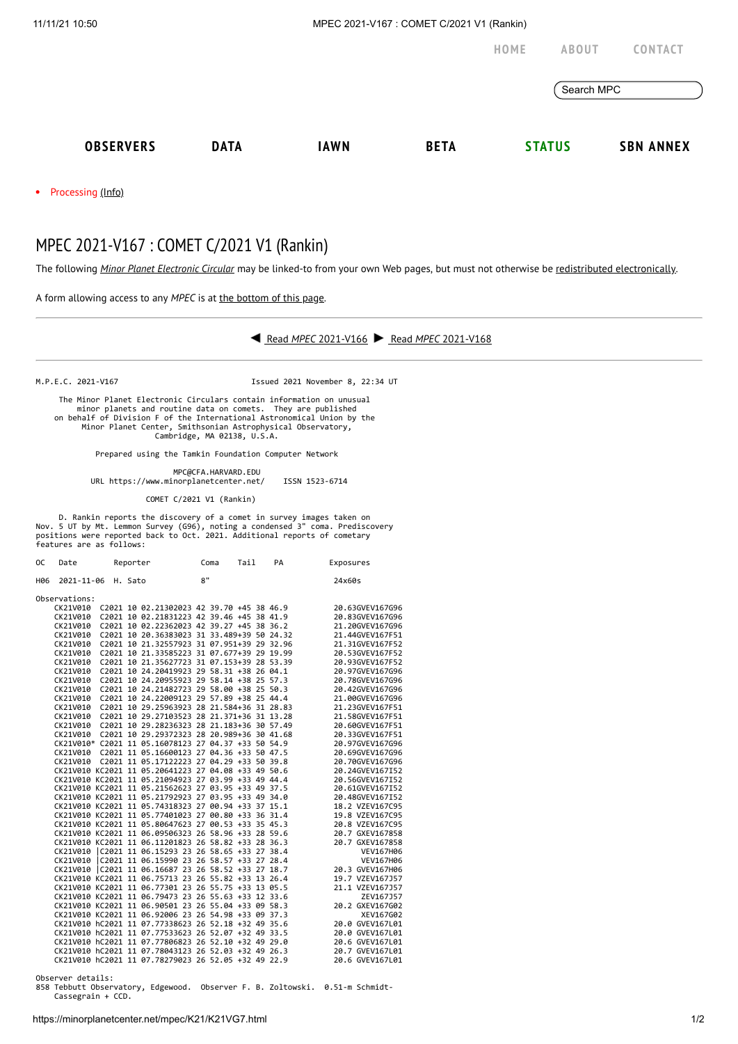11/11/21 10:50 MPEC 2021-V167 : COMET C/2021 V1 (Rankin)

**[HOME](https://minorplanetcenter.net/) [ABOUT](https://minorplanetcenter.net/about) [CONTACT](https://mpc-service.atlassian.net/servicedesk/customer/portals)** Search MPC **[OBSERVERS](https://minorplanetcenter.net/iau/mpc.html) [DATA](https://minorplanetcenter.net/data) [IAWN](http://iawn.net/) [BETA](https://minorplanetcenter.net/mpcops/beta/) [STATUS](https://minorplanetcenter.net/iau/MPCStatus.html) SBN [ANNEX](https://sbnmpc.astro.umd.edu/)**

Processing [\(Info\)](https://minorplanetcenter.net/iau/info/MPCOpStatus.html)  $\bullet$ 

## MPEC 2021-V167 : COMET C/2021 V1 (Rankin)

The following *Minor Planet [Electronic](https://minorplanetcenter.net/iau/services/MPEC.html) Circular* may be linked-to from your own Web pages, but must not otherwise be redistributed [electronically](https://minorplanetcenter.net/iau/WWWPolicy.html).

A form allowing access to any *MPEC* is at the [bottom](https://minorplanetcenter.net/mpec/K19/K21VG7.html#form) of this page.



M.P.E.C. 2021-V167 Issued 2021 November 8, 22:34 UT

 The Minor Planet Electronic Circulars contain information on unusual minor planets and routine data on comets. They are published on behalf of Division F of the International Astronomical Union by the Minor Planet Center, Smithsonian Astrophysical Observatory, Cambridge, MA 02138, U.S.A.

Prepared using the Tamkin Foundation Computer Network

MPC@CFA.HARVARD.EDU

URL https://www.minorplanetcenter.net/ ISSN 1523-6714

COMET C/2021 V1 (Rankin)

 D. Rankin reports the discovery of a comet in survey images taken on Nov. 5 UT by Mt. Lemmon Survey (G96), noting a condensed 3" coma. Prediscovery positions were reported back to Oct. 2021. Additional reports of cometary features are as follows:

| ос  | Date                                                | Reporter |                                            |    | Coma | Tail | PA | Exposures       |
|-----|-----------------------------------------------------|----------|--------------------------------------------|----|------|------|----|-----------------|
| H06 | 2021-11-06 H. Sato                                  |          |                                            | 8" |      |      |    | 24x60s          |
|     | Observations:                                       |          |                                            |    |      |      |    |                 |
|     | CK21V010                                            |          | C2021 10 02.21302023 42 39.70 +45 38 46.9  |    |      |      |    | 20.63GVEV167G96 |
|     | CK21V010                                            |          | C2021 10 02.21831223 42 39.46 +45 38 41.9  |    |      |      |    | 20.83GVEV167G96 |
|     | CK21V010                                            |          | C2021 10 02.22362023 42 39.27 +45 38 36.2  |    |      |      |    | 21.20GVEV167G96 |
|     | CK21V010                                            |          | C2021 10 20.36383023 31 33.489+39 50 24.32 |    |      |      |    | 21.44GVEV167F51 |
|     | CK21V010                                            |          | C2021 10 21.32557923 31 07.951+39 29 32.96 |    |      |      |    | 21.31GVEV167F52 |
|     | CK21V010                                            |          | C2021 10 21.33585223 31 07.677+39 29 19.99 |    |      |      |    | 20.53GVEV167F52 |
|     | CK21V010                                            |          | C2021 10 21.35627723 31 07.153+39 28 53.39 |    |      |      |    | 20.93GVEV167F52 |
|     | CK21V010                                            |          | C2021 10 24.20419923 29 58.31 +38 26 04.1  |    |      |      |    | 20.97GVEV167G96 |
|     | CK21V010                                            |          | C2021 10 24.20955923 29 58.14 +38 25 57.3  |    |      |      |    | 20.78GVEV167G96 |
|     | CK21V010                                            |          | C2021 10 24.21482723 29 58.00 +38 25 50.3  |    |      |      |    | 20.42GVEV167G96 |
|     | CK21V010                                            |          | C2021 10 24.22009123 29 57.89 +38 25 44.4  |    |      |      |    | 21.00GVEV167G96 |
|     | CK21V010                                            |          | C2021 10 29.25963923 28 21.584+36 31 28.83 |    |      |      |    | 21.23GVEV167F51 |
|     | CK21V010                                            |          | C2021 10 29.27103523 28 21.371+36 31 13.28 |    |      |      |    | 21.58GVEV167F51 |
|     | CK21V010                                            |          | C2021 10 29.28236323 28 21.183+36 30 57.49 |    |      |      |    | 20.60GVEV167F51 |
|     | CK21V010                                            |          | C2021 10 29.29372323 28 20.989+36 30 41.68 |    |      |      |    | 20.33GVEV167F51 |
|     | CK21V010* C2021 11 05.16078123 27 04.37 +33 50 54.9 |          |                                            |    |      |      |    | 20.97GVEV167G96 |
|     | CK21V010                                            |          | C2021 11 05.16600123 27 04.36 +33 50 47.5  |    |      |      |    | 20.69GVEV167G96 |
|     | CK21V010                                            |          | C2021 11 05.17122223 27 04.29 +33 50 39.8  |    |      |      |    | 20.70GVEV167G96 |
|     | CK21V010 KC2021 11 05.20641223 27 04.08 +33 49 50.6 |          |                                            |    |      |      |    | 20.24GVEV167I52 |
|     | CK21V010 KC2021 11 05.21094923 27 03.99 +33 49 44.4 |          |                                            |    |      |      |    | 20.56GVEV167I52 |
|     | CK21V010 KC2021 11 05.21562623 27 03.95 +33 49 37.5 |          |                                            |    |      |      |    | 20.61GVEV167I52 |
|     | CK21V010 KC2021 11 05.21792923 27 03.95 +33 49 34.0 |          |                                            |    |      |      |    | 20.48GVEV167I52 |
|     | CK21V010 KC2021 11 05.74318323 27 00.94 +33 37 15.1 |          |                                            |    |      |      |    | 18.2 VZEV167C95 |
|     | CK21V010 KC2021 11 05.77401023 27 00.80 +33 36 31.4 |          |                                            |    |      |      |    | 19.8 VZEV167C95 |
|     | CK21V010 KC2021 11 05.80647623 27 00.53 +33 35 45.3 |          |                                            |    |      |      |    | 20.8 VZEV167C95 |
|     | CK21V010 KC2021 11 06.09506323 26 58.96 +33 28 59.6 |          |                                            |    |      |      |    | 20.7 GXEV167858 |
|     | CK21V010 KC2021 11 06.11201823 26 58.82 +33 28 36.3 |          |                                            |    |      |      |    | 20.7 GXEV167858 |
|     | CK21V010 C2021 11 06.15293 23 26 58.65 +33 27 38.4  |          |                                            |    |      |      |    | VEV167H06       |
|     | CK21V010 C2021 11 06.15990 23 26 58.57 +33 27 28.4  |          |                                            |    |      |      |    | VEV167H06       |
|     | CK21V010 C2021 11 06.16687 23 26 58.52 +33 27 18.7  |          |                                            |    |      |      |    | 20.3 GVEV167H06 |
|     | CK21V010 KC2021 11 06.75713 23 26 55.82 +33 13 26.4 |          |                                            |    |      |      |    | 19.7 VZEV167J57 |
|     | CK21V010 KC2021 11 06.77301 23 26 55.75 +33 13 05.5 |          |                                            |    |      |      |    | 21.1 VZEV167J57 |
|     | CK21V010 KC2021 11 06.79473 23 26 55.63 +33 12 33.6 |          |                                            |    |      |      |    | ZEV167J57       |
|     | CK21V010 KC2021 11 06.90501 23 26 55.04 +33 09 58.3 |          |                                            |    |      |      |    | 20.2 GXEV167G02 |
|     | CK21V010 KC2021 11 06.92006 23 26 54.98 +33 09 37.3 |          |                                            |    |      |      |    | XEV167G02       |
|     | CK21V010 hC2021 11 07.77338623 26 52.18 +32 49 35.6 |          |                                            |    |      |      |    | 20.0 GVEV167L01 |
|     | CK21V010 hC2021 11 07.77533623 26 52.07 +32 49 33.5 |          |                                            |    |      |      |    | 20.0 GVEV167L01 |
|     | CK21V010 hC2021 11 07.77806823 26 52.10 +32 49 29.0 |          |                                            |    |      |      |    | 20.6 GVEV167L01 |
|     | CK21V010 hC2021 11 07.78043123 26 52.03 +32 49 26.3 |          |                                            |    |      |      |    | 20.7 GVEV167L01 |
|     | CK21V010 hC2021 11 07.78279023 26 52.05 +32 49 22.9 |          |                                            |    |      |      |    | 20.6 GVEV167L01 |

Observer details:

858 Tebbutt Observatory, Edgewood. Observer F. B. Zoltowski. 0.51-m Schmidt- Cassegrain + CCD.